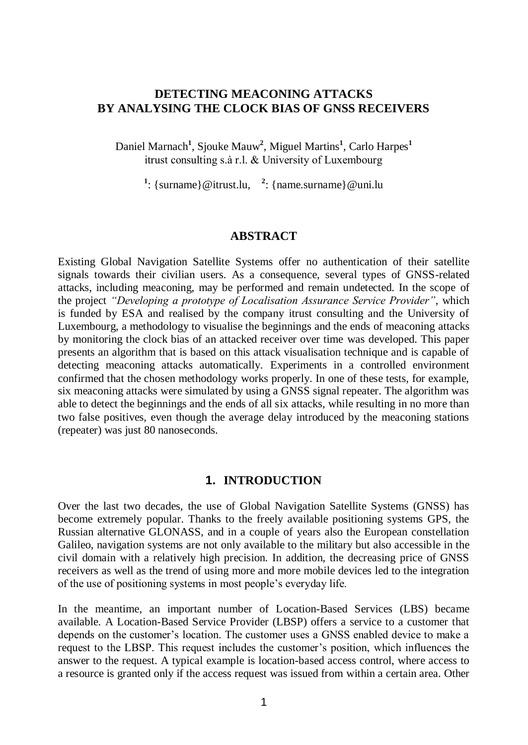# **DETECTING MEACONING ATTACKS BY ANALYSING THE CLOCK BIAS OF GNSS RECEIVERS**

Daniel Marnach**<sup>1</sup>** , Sjouke Mauw**<sup>2</sup>** , Miguel Martins**<sup>1</sup>** , Carlo Harpes**<sup>1</sup>** itrust consulting s.à r.l. & University of Luxembourg

<sup>1</sup>: {surname} @ itrust.lu, <sup>2</sup>: {name.surname} @ uni.lu

#### **ABSTRACT**

Existing Global Navigation Satellite Systems offer no authentication of their satellite signals towards their civilian users. As a consequence, several types of GNSS-related attacks, including meaconing, may be performed and remain undetected. In the scope of the project *"Developing a prototype of Localisation Assurance Service Provider"*, which is funded by ESA and realised by the company itrust consulting and the University of Luxembourg, a methodology to visualise the beginnings and the ends of meaconing attacks by monitoring the clock bias of an attacked receiver over time was developed. This paper presents an algorithm that is based on this attack visualisation technique and is capable of detecting meaconing attacks automatically. Experiments in a controlled environment confirmed that the chosen methodology works properly. In one of these tests, for example, six meaconing attacks were simulated by using a GNSS signal repeater. The algorithm was able to detect the beginnings and the ends of all six attacks, while resulting in no more than two false positives, even though the average delay introduced by the meaconing stations (repeater) was just 80 nanoseconds.

### **1. INTRODUCTION**

<span id="page-0-0"></span>Over the last two decades, the use of Global Navigation Satellite Systems (GNSS) has become extremely popular. Thanks to the freely available positioning systems GPS, the Russian alternative GLONASS, and in a couple of years also the European constellation Galileo, navigation systems are not only available to the military but also accessible in the civil domain with a relatively high precision. In addition, the decreasing price of GNSS receivers as well as the trend of using more and more mobile devices led to the integration of the use of positioning systems in most people's everyday life.

In the meantime, an important number of Location-Based Services (LBS) became available. A Location-Based Service Provider (LBSP) offers a service to a customer that depends on the customer's location. The customer uses a GNSS enabled device to make a request to the LBSP. This request includes the customer's position, which influences the answer to the request. A typical example is location-based access control, where access to a resource is granted only if the access request was issued from within a certain area. Other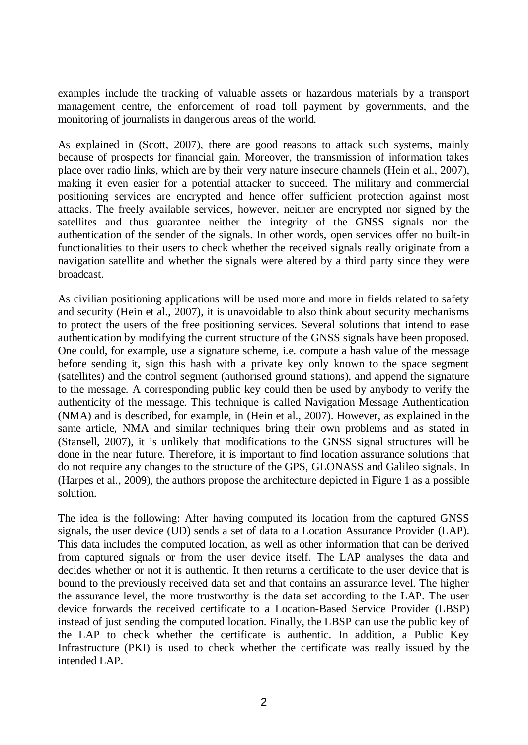examples include the tracking of valuable assets or hazardous materials by a transport management centre, the enforcement of road toll payment by governments, and the monitoring of journalists in dangerous areas of the world.

As explained in (Scott, 2007), there are good reasons to attack such systems, mainly because of prospects for financial gain. Moreover, the transmission of information takes place over radio links, which are by their very nature insecure channels (Hein et al., 2007), making it even easier for a potential attacker to succeed. The military and commercial positioning services are encrypted and hence offer sufficient protection against most attacks. The freely available services, however, neither are encrypted nor signed by the satellites and thus guarantee neither the integrity of the GNSS signals nor the authentication of the sender of the signals. In other words, open services offer no built-in functionalities to their users to check whether the received signals really originate from a navigation satellite and whether the signals were altered by a third party since they were broadcast.

As civilian positioning applications will be used more and more in fields related to safety and security (Hein et al., 2007), it is unavoidable to also think about security mechanisms to protect the users of the free positioning services. Several solutions that intend to ease authentication by modifying the current structure of the GNSS signals have been proposed. One could, for example, use a signature scheme, i.e. compute a hash value of the message before sending it, sign this hash with a private key only known to the space segment (satellites) and the control segment (authorised ground stations), and append the signature to the message. A corresponding public key could then be used by anybody to verify the authenticity of the message. This technique is called Navigation Message Authentication (NMA) and is described, for example, in (Hein et al., 2007). However, as explained in the same article, NMA and similar techniques bring their own problems and as stated in (Stansell, 2007), it is unlikely that modifications to the GNSS signal structures will be done in the near future. Therefore, it is important to find location assurance solutions that do not require any changes to the structure of the GPS, GLONASS and Galileo signals. In (Harpes et al., 2009), the authors propose the architecture depicted in [Figure 1](#page-2-0) as a possible solution.

The idea is the following: After having computed its location from the captured GNSS signals, the user device (UD) sends a set of data to a Location Assurance Provider (LAP). This data includes the computed location, as well as other information that can be derived from captured signals or from the user device itself. The LAP analyses the data and decides whether or not it is authentic. It then returns a certificate to the user device that is bound to the previously received data set and that contains an assurance level. The higher the assurance level, the more trustworthy is the data set according to the LAP. The user device forwards the received certificate to a Location-Based Service Provider (LBSP) instead of just sending the computed location. Finally, the LBSP can use the public key of the LAP to check whether the certificate is authentic. In addition, a Public Key Infrastructure (PKI) is used to check whether the certificate was really issued by the intended LAP.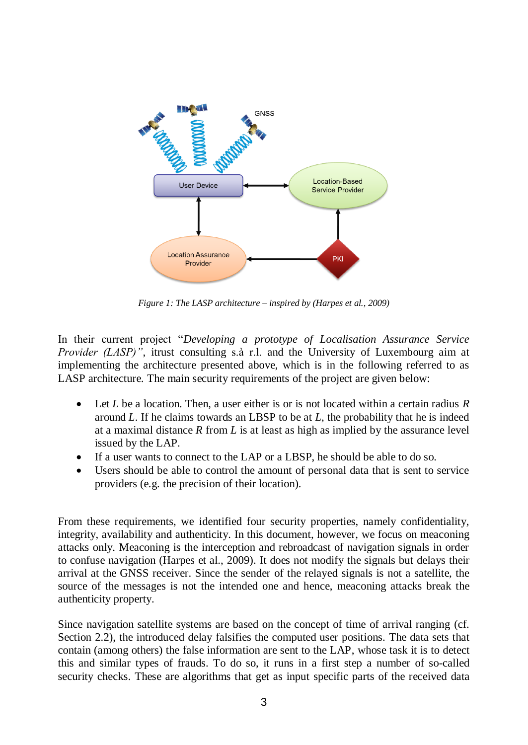

*Figure 1: The LASP architecture – inspired by (Harpes et al., 2009)*

<span id="page-2-0"></span>In their current project "*Developing a prototype of Localisation Assurance Service Provider (LASP)<sup>"</sup>*, itrust consulting s.à r.l. and the University of Luxembourg aim at implementing the architecture presented above, which is in the following referred to as LASP architecture. The main security requirements of the project are given below:

- Let *L* be a location. Then, a user either is or is not located within a certain radius *R* around *L*. If he claims towards an LBSP to be at *L*, the probability that he is indeed at a maximal distance *R* from *L* is at least as high as implied by the assurance level issued by the LAP.
- If a user wants to connect to the LAP or a LBSP, he should be able to do so.
- Users should be able to control the amount of personal data that is sent to service providers (e.g. the precision of their location).

From these requirements, we identified four security properties, namely confidentiality, integrity, availability and authenticity. In this document, however, we focus on meaconing attacks only. Meaconing is the interception and rebroadcast of navigation signals in order to confuse navigation (Harpes et al., 2009). It does not modify the signals but delays their arrival at the GNSS receiver. Since the sender of the relayed signals is not a satellite, the source of the messages is not the intended one and hence, meaconing attacks break the authenticity property.

Since navigation satellite systems are based on the concept of time of arrival ranging (cf. Section [2.2\)](#page-4-0), the introduced delay falsifies the computed user positions. The data sets that contain (among others) the false information are sent to the LAP, whose task it is to detect this and similar types of frauds. To do so, it runs in a first step a number of so-called security checks. These are algorithms that get as input specific parts of the received data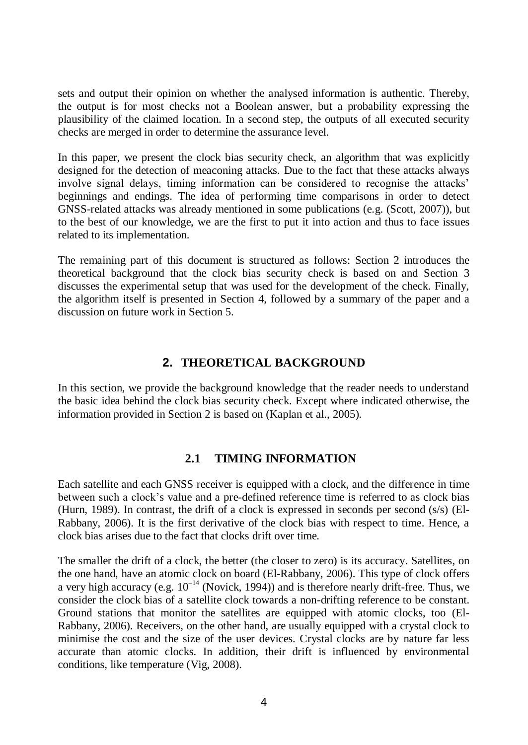sets and output their opinion on whether the analysed information is authentic. Thereby, the output is for most checks not a Boolean answer, but a probability expressing the plausibility of the claimed location. In a second step, the outputs of all executed security checks are merged in order to determine the assurance level.

In this paper, we present the clock bias security check, an algorithm that was explicitly designed for the detection of meaconing attacks. Due to the fact that these attacks always involve signal delays, timing information can be considered to recognise the attacks' beginnings and endings. The idea of performing time comparisons in order to detect GNSS-related attacks was already mentioned in some publications (e.g. (Scott, 2007)), but to the best of our knowledge, we are the first to put it into action and thus to face issues related to its implementation.

The remaining part of this document is structured as follows: Section 2 introduces the theoretical background that the clock bias security check is based on and Section [3](#page-6-0) discusses the experimental setup that was used for the development of the check. Finally, the algorithm itself is presented in Section [4,](#page-8-0) followed by a summary of the paper and a discussion on future work in Section [5.](#page-16-0)

# **2. THEORETICAL BACKGROUND**

<span id="page-3-0"></span>In this section, we provide the background knowledge that the reader needs to understand the basic idea behind the clock bias security check. Except where indicated otherwise, the information provided in Section [2](#page-3-0) is based on (Kaplan et al., 2005).

## **2.1 TIMING INFORMATION**

<span id="page-3-1"></span>Each satellite and each GNSS receiver is equipped with a clock, and the difference in time between such a clock's value and a pre-defined reference time is referred to as clock bias (Hurn, 1989). In contrast, the drift of a clock is expressed in seconds per second (s/s) (El-Rabbany, 2006). It is the first derivative of the clock bias with respect to time. Hence, a clock bias arises due to the fact that clocks drift over time.

The smaller the drift of a clock, the better (the closer to zero) is its accuracy. Satellites, on the one hand, have an atomic clock on board (El-Rabbany, 2006). This type of clock offers a very high accuracy (e.g.  $10^{-14}$  (Novick, 1994)) and is therefore nearly drift-free. Thus, we consider the clock bias of a satellite clock towards a non-drifting reference to be constant. Ground stations that monitor the satellites are equipped with atomic clocks, too (El-Rabbany, 2006). Receivers, on the other hand, are usually equipped with a crystal clock to minimise the cost and the size of the user devices. Crystal clocks are by nature far less accurate than atomic clocks. In addition, their drift is influenced by environmental conditions, like temperature (Vig, 2008).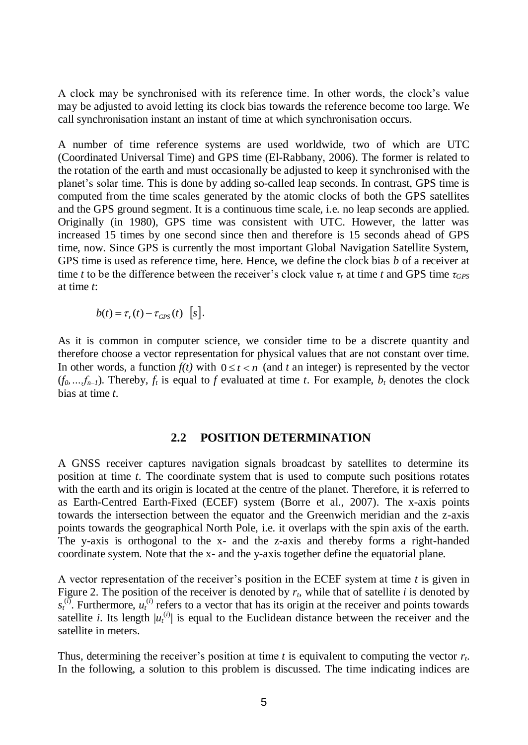A clock may be synchronised with its reference time. In other words, the clock's value may be adjusted to avoid letting its clock bias towards the reference become too large. We call synchronisation instant an instant of time at which synchronisation occurs.

A number of time reference systems are used worldwide, two of which are UTC (Coordinated Universal Time) and GPS time (El-Rabbany, 2006). The former is related to the rotation of the earth and must occasionally be adjusted to keep it synchronised with the planet's solar time. This is done by adding so-called leap seconds. In contrast, GPS time is computed from the time scales generated by the atomic clocks of both the GPS satellites and the GPS ground segment. It is a continuous time scale, i.e. no leap seconds are applied. Originally (in 1980), GPS time was consistent with UTC. However, the latter was increased 15 times by one second since then and therefore is 15 seconds ahead of GPS time, now. Since GPS is currently the most important Global Navigation Satellite System, GPS time is used as reference time, here. Hence, we define the clock bias *b* of a receiver at time *t* to be the difference between the receiver's clock value  $\tau_r$  at time *t* and GPS time  $\tau_{GPS}$ at time *t*:

 $b(t) = \tau_r(t) - \tau_{\text{GBS}}(t)$  [s].

As it is common in computer science, we consider time to be a discrete quantity and therefore choose a vector representation for physical values that are not constant over time. In other words, a function  $f(t)$  with  $0 \le t < n$  (and *t* an integer) is represented by the vector  $(f_0, \ldots, f_{n-1})$ . Thereby,  $f_t$  is equal to  $f$  evaluated at time  $t$ . For example,  $b_t$  denotes the clock bias at time *t*.

#### **2.2 POSITION DETERMINATION**

<span id="page-4-0"></span>A GNSS receiver captures navigation signals broadcast by satellites to determine its position at time *t*. The coordinate system that is used to compute such positions rotates with the earth and its origin is located at the centre of the planet. Therefore, it is referred to as Earth-Centred Earth-Fixed (ECEF) system (Borre et al., 2007). The x-axis points towards the intersection between the equator and the Greenwich meridian and the z-axis points towards the geographical North Pole, i.e. it overlaps with the spin axis of the earth. The y-axis is orthogonal to the x- and the z-axis and thereby forms a right-handed coordinate system. Note that the x- and the y-axis together define the equatorial plane.

A vector representation of the receiver's position in the ECEF system at time *t* is given in [Figure 2.](#page-5-0) The position of the receiver is denoted by *r<sup>t</sup>* , while that of satellite *i* is denoted by  $s_t^{(i)}$ . Furthermore,  $u_t^{(i)}$  refers to a vector that has its origin at the receiver and points towards satellite *i*. Its length  $|u_t^{(i)}|$  is equal to the Euclidean distance between the receiver and the satellite in meters.

Thus, determining the receiver's position at time *t* is equivalent to computing the vector *r<sup>t</sup>* . In the following, a solution to this problem is discussed. The time indicating indices are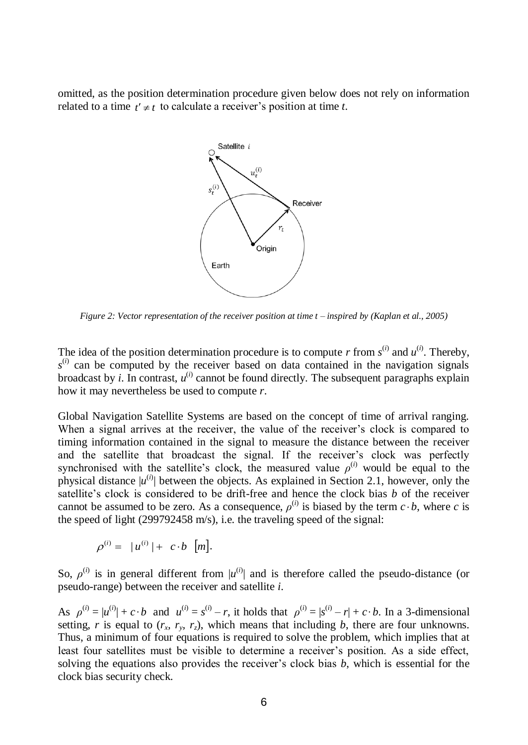omitted, as the position determination procedure given below does not rely on information related to a time  $t' \neq t$  to calculate a receiver's position at time *t*.



<span id="page-5-0"></span>*Figure 2: Vector representation of the receiver position at time t – inspired by (Kaplan et al., 2005)*

The idea of the position determination procedure is to compute *r* from  $s^{(i)}$  and  $u^{(i)}$ . Thereby,  $s^{(i)}$  can be computed by the receiver based on data contained in the navigation signals broadcast by *i*. In contrast,  $u^{(i)}$  cannot be found directly. The subsequent paragraphs explain how it may nevertheless be used to compute *r*.

Global Navigation Satellite Systems are based on the concept of time of arrival ranging. When a signal arrives at the receiver, the value of the receiver's clock is compared to timing information contained in the signal to measure the distance between the receiver and the satellite that broadcast the signal. If the receiver's clock was perfectly synchronised with the satellite's clock, the measured value  $\rho^{(i)}$  would be equal to the physical distance  $|u^{(i)}|$  between the objects. As explained in Section [2.1,](#page-3-1) however, only the satellite's clock is considered to be drift-free and hence the clock bias *b* of the receiver cannot be assumed to be zero. As a consequence,  $\rho^{(i)}$  is biased by the term  $c \cdot b$ , where *c* is the speed of light (299792458 m/s), i.e. the traveling speed of the signal:

$$
\rho^{(i)} = |u^{(i)}| + c \cdot b \quad [m].
$$

So,  $\rho^{(i)}$  is in general different from  $|u^{(i)}|$  and is therefore called the pseudo-distance (or pseudo-range) between the receiver and satellite *i*.

As  $\rho^{(i)} = |u^{(i)}| + c \cdot b$  and  $u^{(i)} = s^{(i)} - r$ , it holds that  $\rho^{(i)} = |s^{(i)} - r| + c \cdot b$ . In a 3-dimensional setting, *r* is equal to  $(r_x, r_y, r_z)$ , which means that including *b*, there are four unknowns. Thus, a minimum of four equations is required to solve the problem, which implies that at least four satellites must be visible to determine a receiver's position. As a side effect, solving the equations also provides the receiver's clock bias *b*, which is essential for the clock bias security check.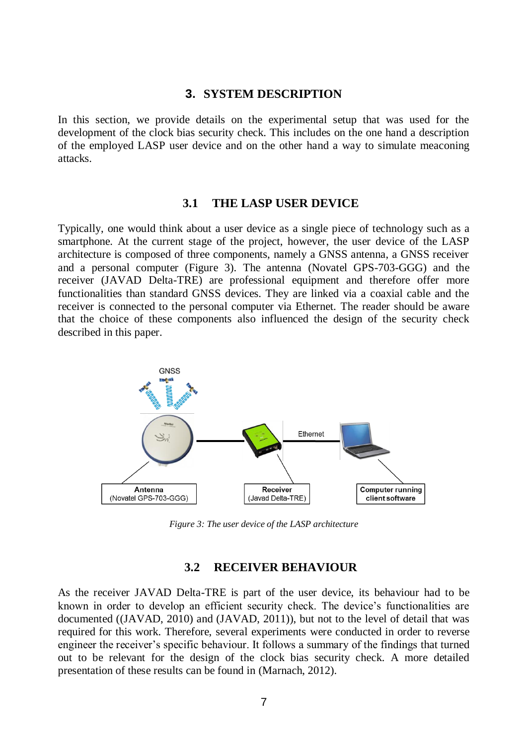## **3. SYSTEM DESCRIPTION**

<span id="page-6-0"></span>In this section, we provide details on the experimental setup that was used for the development of the clock bias security check. This includes on the one hand a description of the employed LASP user device and on the other hand a way to simulate meaconing attacks.

#### **3.1 THE LASP USER DEVICE**

Typically, one would think about a user device as a single piece of technology such as a smartphone. At the current stage of the project, however, the user device of the LASP architecture is composed of three components, namely a GNSS antenna, a GNSS receiver and a personal computer [\(Figure 3\)](#page-6-1). The antenna (Novatel GPS-703-GGG) and the receiver (JAVAD Delta-TRE) are professional equipment and therefore offer more functionalities than standard GNSS devices. They are linked via a coaxial cable and the receiver is connected to the personal computer via Ethernet. The reader should be aware that the choice of these components also influenced the design of the security check described in this paper.



*Figure 3: The user device of the LASP architecture*

### **3.2 RECEIVER BEHAVIOUR**

<span id="page-6-2"></span><span id="page-6-1"></span>As the receiver JAVAD Delta-TRE is part of the user device, its behaviour had to be known in order to develop an efficient security check. The device's functionalities are documented ((JAVAD, 2010) and (JAVAD, 2011)), but not to the level of detail that was required for this work. Therefore, several experiments were conducted in order to reverse engineer the receiver's specific behaviour. It follows a summary of the findings that turned out to be relevant for the design of the clock bias security check. A more detailed presentation of these results can be found in (Marnach, 2012).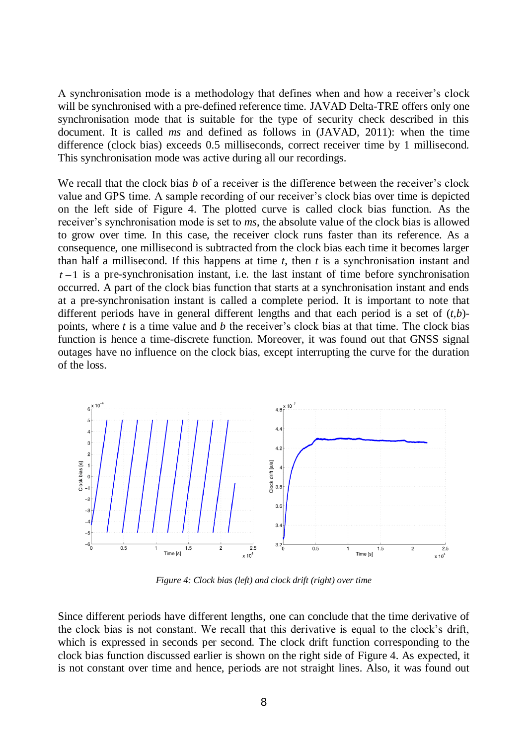A synchronisation mode is a methodology that defines when and how a receiver's clock will be synchronised with a pre-defined reference time. JAVAD Delta-TRE offers only one synchronisation mode that is suitable for the type of security check described in this document. It is called *ms* and defined as follows in (JAVAD, 2011): when the time difference (clock bias) exceeds 0.5 milliseconds, correct receiver time by 1 millisecond. This synchronisation mode was active during all our recordings.

We recall that the clock bias *b* of a receiver is the difference between the receiver's clock value and GPS time. A sample recording of our receiver's clock bias over time is depicted on the left side of [Figure 4.](#page-7-0) The plotted curve is called clock bias function. As the receiver's synchronisation mode is set to *ms*, the absolute value of the clock bias is allowed to grow over time. In this case, the receiver clock runs faster than its reference. As a consequence, one millisecond is subtracted from the clock bias each time it becomes larger than half a millisecond. If this happens at time  $t$ , then  $t$  is a synchronisation instant and  $t-1$  is a pre-synchronisation instant, i.e. the last instant of time before synchronisation occurred. A part of the clock bias function that starts at a synchronisation instant and ends at a pre-synchronisation instant is called a complete period. It is important to note that different periods have in general different lengths and that each period is a set of (*t,b*) points, where *t* is a time value and *b* the receiver's clock bias at that time. The clock bias function is hence a time-discrete function. Moreover, it was found out that GNSS signal outages have no influence on the clock bias, except interrupting the curve for the duration of the loss.



*Figure 4: Clock bias (left) and clock drift (right) over time*

<span id="page-7-0"></span>Since different periods have different lengths, one can conclude that the time derivative of the clock bias is not constant. We recall that this derivative is equal to the clock's drift, which is expressed in seconds per second. The clock drift function corresponding to the clock bias function discussed earlier is shown on the right side of [Figure 4.](#page-7-0) As expected, it is not constant over time and hence, periods are not straight lines. Also, it was found out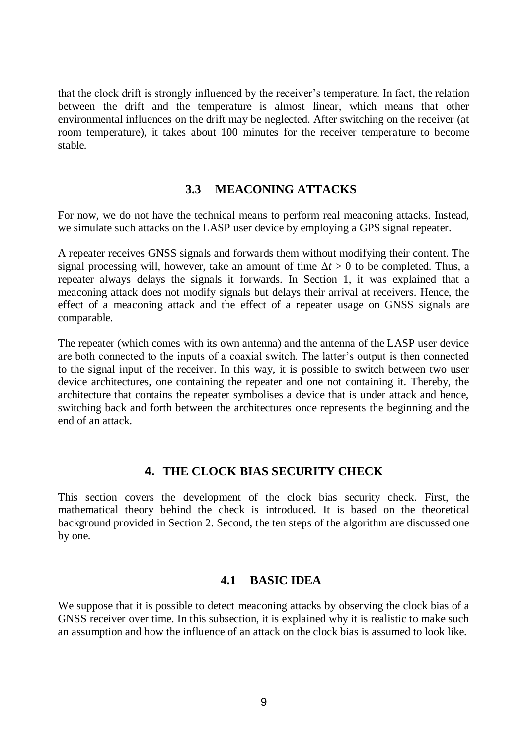that the clock drift is strongly influenced by the receiver's temperature. In fact, the relation between the drift and the temperature is almost linear, which means that other environmental influences on the drift may be neglected. After switching on the receiver (at room temperature), it takes about 100 minutes for the receiver temperature to become stable.

### **3.3 MEACONING ATTACKS**

<span id="page-8-1"></span>For now, we do not have the technical means to perform real meaconing attacks. Instead, we simulate such attacks on the LASP user device by employing a GPS signal repeater.

A repeater receives GNSS signals and forwards them without modifying their content. The signal processing will, however, take an amount of time  $\Delta t > 0$  to be completed. Thus, a repeater always delays the signals it forwards. In Section [1,](#page-0-0) it was explained that a meaconing attack does not modify signals but delays their arrival at receivers. Hence, the effect of a meaconing attack and the effect of a repeater usage on GNSS signals are comparable.

The repeater (which comes with its own antenna) and the antenna of the LASP user device are both connected to the inputs of a coaxial switch. The latter's output is then connected to the signal input of the receiver. In this way, it is possible to switch between two user device architectures, one containing the repeater and one not containing it. Thereby, the architecture that contains the repeater symbolises a device that is under attack and hence, switching back and forth between the architectures once represents the beginning and the end of an attack.

# **4. THE CLOCK BIAS SECURITY CHECK**

<span id="page-8-0"></span>This section covers the development of the clock bias security check. First, the mathematical theory behind the check is introduced. It is based on the theoretical background provided in Section [2.](#page-3-0) Second, the ten steps of the algorithm are discussed one by one.

### **4.1 BASIC IDEA**

We suppose that it is possible to detect meaconing attacks by observing the clock bias of a GNSS receiver over time. In this subsection, it is explained why it is realistic to make such an assumption and how the influence of an attack on the clock bias is assumed to look like.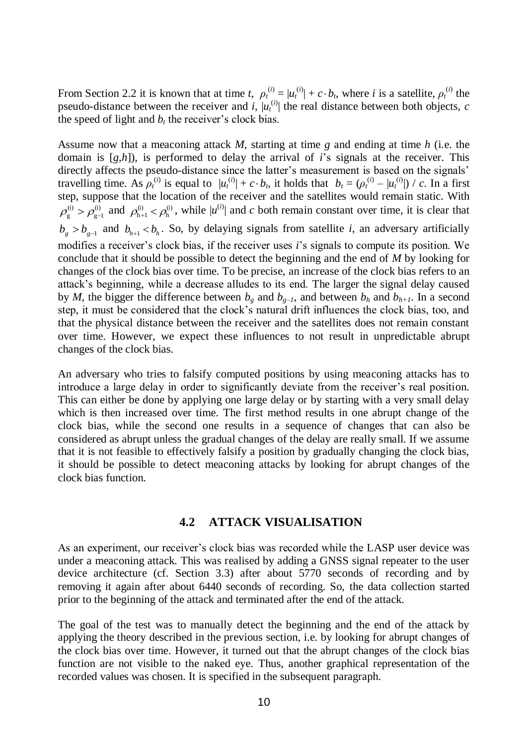From Section [2.2](#page-4-0) it is known that at time *t*,  $\rho_t^{(i)} = |u_t^{(i)}| + c \cdot b_t$ , where *i* is a satellite,  $\rho_t^{(i)}$  the pseudo-distance between the receiver and *i*,  $|u_t^{(i)}|$  the real distance between both objects, *c* the speed of light and  $b_t$  the receiver's clock bias.

Assume now that a meaconing attack *M*, starting at time *g* and ending at time *h* (i.e. the domain is [*g,h*]), is performed to delay the arrival of *i*'s signals at the receiver. This directly affects the pseudo-distance since the latter's measurement is based on the signals' travelling time. As  $\rho_t^{(i)}$  is equal to  $|u_t^{(i)}| + c \cdot b_t$ , it holds that  $b_t = (\rho_t^{(i)} - |u_t^{(i)}|) / c$ . In a first step, suppose that the location of the receiver and the satellites would remain static. With  $\rho_{g}^{(i)} > \rho_{g-1}^{(i)}$  and  $\rho_{h+1}^{(i)} < \rho_{h}^{(i)}$ , while  $|u^{(i)}|$  and *c* both remain constant over time, it is clear that  $b_g > b_{g-1}$  and  $b_{h+1} < b_h$ . So, by delaying signals from satellite *i*, an adversary artificially modifies a receiver's clock bias, if the receiver uses *i*'s signals to compute its position. We conclude that it should be possible to detect the beginning and the end of *M* by looking for changes of the clock bias over time. To be precise, an increase of the clock bias refers to an attack's beginning, while a decrease alludes to its end. The larger the signal delay caused by *M*, the bigger the difference between  $b_g$  and  $b_{g-1}$ , and between  $b_h$  and  $b_{h+1}$ . In a second step, it must be considered that the clock's natural drift influences the clock bias, too, and that the physical distance between the receiver and the satellites does not remain constant over time. However, we expect these influences to not result in unpredictable abrupt changes of the clock bias.

An adversary who tries to falsify computed positions by using meaconing attacks has to introduce a large delay in order to significantly deviate from the receiver's real position. This can either be done by applying one large delay or by starting with a very small delay which is then increased over time. The first method results in one abrupt change of the clock bias, while the second one results in a sequence of changes that can also be considered as abrupt unless the gradual changes of the delay are really small. If we assume that it is not feasible to effectively falsify a position by gradually changing the clock bias, it should be possible to detect meaconing attacks by looking for abrupt changes of the clock bias function.

#### **4.2 ATTACK VISUALISATION**

<span id="page-9-0"></span>As an experiment, our receiver's clock bias was recorded while the LASP user device was under a meaconing attack. This was realised by adding a GNSS signal repeater to the user device architecture (cf. Section [3.3\)](#page-8-1) after about 5770 seconds of recording and by removing it again after about 6440 seconds of recording. So, the data collection started prior to the beginning of the attack and terminated after the end of the attack.

The goal of the test was to manually detect the beginning and the end of the attack by applying the theory described in the previous section, i.e. by looking for abrupt changes of the clock bias over time. However, it turned out that the abrupt changes of the clock bias function are not visible to the naked eye. Thus, another graphical representation of the recorded values was chosen. It is specified in the subsequent paragraph.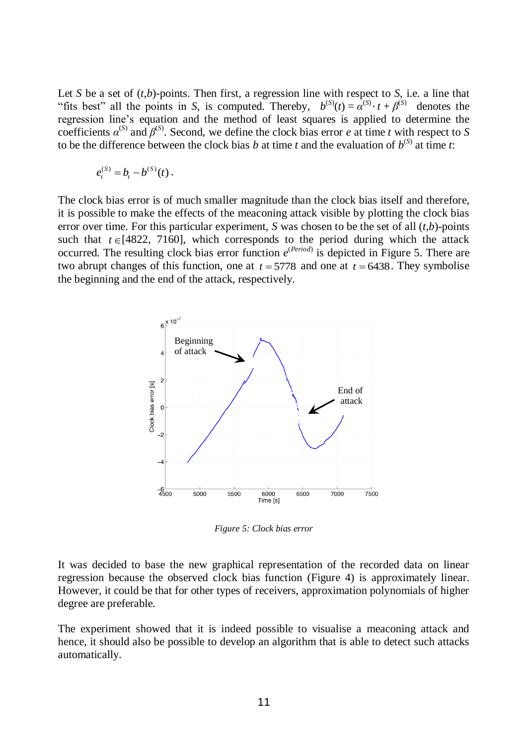Let *S* be a set of (*t,b*)-points. Then first, a regression line with respect to *S*, i.e. a line that "fits best" all the points in *S*, is computed. Thereby,  $b^{(S)}(t) = a^{(S)} \cdot t + \beta^{(S)}$  denotes the regression line's equation and the method of least squares is applied to determine the coefficients  $\alpha^{(S)}$  and  $\beta^{(S)}$ . Second, we define the clock bias error *e* at time *t* with respect to *S* to be the difference between the clock bias *b* at time *t* and the evaluation of  $b^{(S)}$  at time *t*:

$$
e_t^{(S)} = b_t - b^{(S)}(t).
$$

The clock bias error is of much smaller magnitude than the clock bias itself and therefore, it is possible to make the effects of the meaconing attack visible by plotting the clock bias error over time. For this particular experiment, *S* was chosen to be the set of all (*t,b*)-points such that  $t \in [4822, 7160]$ , which corresponds to the period during which the attack occurred. The resulting clock bias error function  $e^{(Period)}$  is depicted in [Figure 5.](#page-10-0) There are two abrupt changes of this function, one at  $t = 5778$  and one at  $t = 6438$ . They symbolise the beginning and the end of the attack, respectively.



*Figure 5: Clock bias error*

<span id="page-10-0"></span>It was decided to base the new graphical representation of the recorded data on linear regression because the observed clock bias function [\(Figure 4\)](#page-7-0) is approximately linear. However, it could be that for other types of receivers, approximation polynomials of higher degree are preferable.

The experiment showed that it is indeed possible to visualise a meaconing attack and hence, it should also be possible to develop an algorithm that is able to detect such attacks automatically.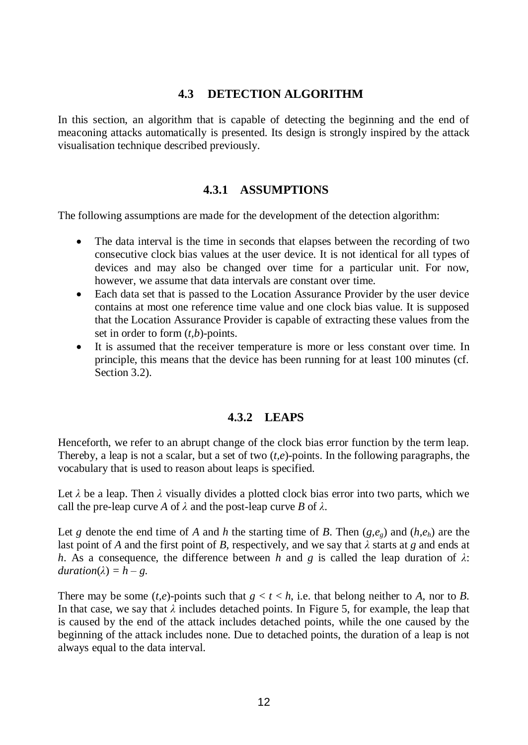# **4.3 DETECTION ALGORITHM**

In this section, an algorithm that is capable of detecting the beginning and the end of meaconing attacks automatically is presented. Its design is strongly inspired by the attack visualisation technique described previously.

## **4.3.1 ASSUMPTIONS**

<span id="page-11-0"></span>The following assumptions are made for the development of the detection algorithm:

- The data interval is the time in seconds that elapses between the recording of two consecutive clock bias values at the user device. It is not identical for all types of devices and may also be changed over time for a particular unit. For now, however, we assume that data intervals are constant over time.
- Each data set that is passed to the Location Assurance Provider by the user device contains at most one reference time value and one clock bias value. It is supposed that the Location Assurance Provider is capable of extracting these values from the set in order to form (*t,b*)-points.
- It is assumed that the receiver temperature is more or less constant over time. In principle, this means that the device has been running for at least 100 minutes (cf. Section [3.2\)](#page-6-2).

# **4.3.2 LEAPS**

<span id="page-11-1"></span>Henceforth, we refer to an abrupt change of the clock bias error function by the term leap. Thereby, a leap is not a scalar, but a set of two (*t,e*)-points. In the following paragraphs, the vocabulary that is used to reason about leaps is specified.

Let *λ* be a leap. Then *λ* visually divides a plotted clock bias error into two parts, which we call the pre-leap curve *A* of  $\lambda$  and the post-leap curve *B* of  $\lambda$ .

Let *g* denote the end time of *A* and *h* the starting time of *B*. Then  $(g,e_g)$  and  $(h,e_h)$  are the last point of *A* and the first point of *B*, respectively, and we say that  $\lambda$  starts at *g* and ends at *h*. As a consequence, the difference between *h* and *g* is called the leap duration of  $\lambda$ :  $duration(\lambda) = h - g$ .

There may be some  $(t,e)$ -points such that  $g < t < h$ , i.e. that belong neither to *A*, nor to *B*. In that case, we say that  $\lambda$  includes detached points. In [Figure 5,](#page-10-0) for example, the leap that is caused by the end of the attack includes detached points, while the one caused by the beginning of the attack includes none. Due to detached points, the duration of a leap is not always equal to the data interval.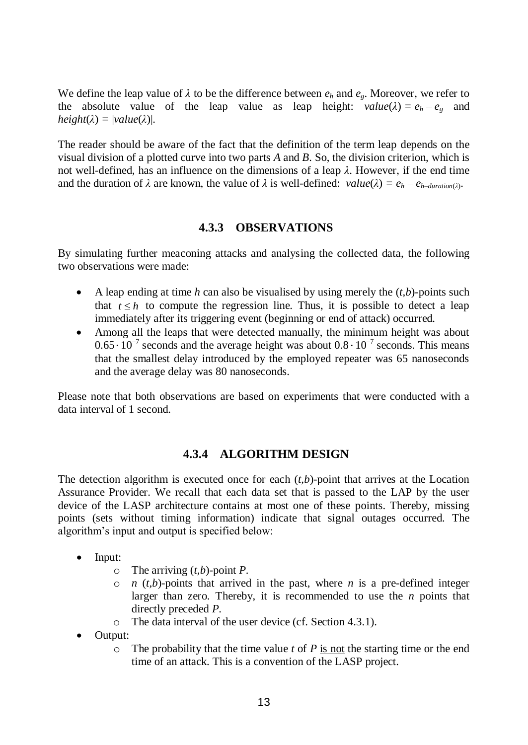We define the leap value of  $\lambda$  to be the difference between  $e_h$  and  $e_g$ . Moreover, we refer to the absolute value of the leap value as leap height:  $value(\lambda) = e_h - e_g$  and  $height(\lambda) = |value(\lambda)|$ .

The reader should be aware of the fact that the definition of the term leap depends on the visual division of a plotted curve into two parts *A* and *B*. So, the division criterion, which is not well-defined, has an influence on the dimensions of a leap *λ*. However, if the end time and the duration of  $\lambda$  are known, the value of  $\lambda$  is well-defined:  $value(\lambda) = e_h - e_{h-duration(\lambda)}$ .

### **4.3.3 OBSERVATIONS**

<span id="page-12-0"></span>By simulating further meaconing attacks and analysing the collected data, the following two observations were made:

- A leap ending at time  $h$  can also be visualised by using merely the  $(t,b)$ -points such that  $t \leq h$  to compute the regression line. Thus, it is possible to detect a leap immediately after its triggering event (beginning or end of attack) occurred.
- Among all the leaps that were detected manually, the minimum height was about  $0.65 \cdot 10^{-7}$  seconds and the average height was about  $0.8 \cdot 10^{-7}$  seconds. This means that the smallest delay introduced by the employed repeater was 65 nanoseconds and the average delay was 80 nanoseconds.

Please note that both observations are based on experiments that were conducted with a data interval of 1 second.

### **4.3.4 ALGORITHM DESIGN**

The detection algorithm is executed once for each (*t,b*)-point that arrives at the Location Assurance Provider. We recall that each data set that is passed to the LAP by the user device of the LASP architecture contains at most one of these points. Thereby, missing points (sets without timing information) indicate that signal outages occurred. The algorithm's input and output is specified below:

- Input:
	- o The arriving (*t,b*)-point *P*.
	- $\circ$  *n* (*t*,*b*)-points that arrived in the past, where *n* is a pre-defined integer larger than zero. Thereby, it is recommended to use the *n* points that directly preceded *P*.
	- o The data interval of the user device (cf. Section [4.3.1\)](#page-11-0).
- Output:
	- $\circ$  The probability that the time value *t* of *P* is not the starting time or the end time of an attack. This is a convention of the LASP project.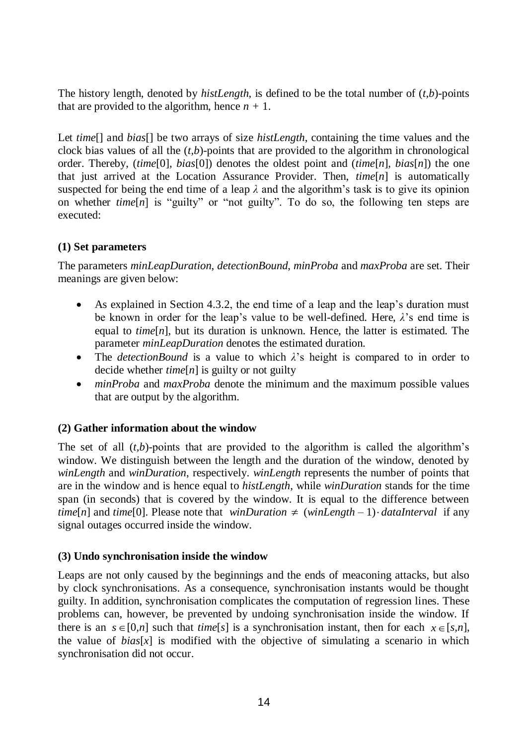The history length, denoted by *histLength*, is defined to be the total number of (*t,b*)-points that are provided to the algorithm, hence  $n + 1$ .

Let *time*[] and *bias*[] be two arrays of size *histLength*, containing the time values and the clock bias values of all the (*t,b*)-points that are provided to the algorithm in chronological order. Thereby, (*time*[0]*, bias*[0]) denotes the oldest point and (*time*[*n*]*, bias*[*n*]) the one that just arrived at the Location Assurance Provider. Then,  $time[n]$  is automatically suspected for being the end time of a leap  $\lambda$  and the algorithm's task is to give its opinion on whether *time*[*n*] is "guilty" or "not guilty". To do so, the following ten steps are executed:

# **(1) Set parameters**

The parameters *minLeapDuration*, *detectionBound*, *minProba* and *maxProba* are set. Their meanings are given below:

- As explained in Section [4.3.2,](#page-11-1) the end time of a leap and the leap's duration must be known in order for the leap's value to be well-defined. Here, *λ*'s end time is equal to  $time[n]$ , but its duration is unknown. Hence, the latter is estimated. The parameter *minLeapDuration* denotes the estimated duration.
- The *detectionBound* is a value to which *λ*'s height is compared to in order to decide whether *time*[*n*] is guilty or not guilty
- *minProba* and *maxProba* denote the minimum and the maximum possible values that are output by the algorithm.

# **(2) Gather information about the window**

The set of all  $(t,b)$ -points that are provided to the algorithm is called the algorithm's window. We distinguish between the length and the duration of the window, denoted by *winLength* and *winDuration*, respectively. *winLength* represents the number of points that are in the window and is hence equal to *histLength*, while *winDuration* stands for the time span (in seconds) that is covered by the window. It is equal to the difference between  $time[n]$  and  $time[0]$ . Please note that *winDuration*  $\neq$  (*winLength* – 1) *dataInterval* if any signal outages occurred inside the window.

## **(3) Undo synchronisation inside the window**

Leaps are not only caused by the beginnings and the ends of meaconing attacks, but also by clock synchronisations. As a consequence, synchronisation instants would be thought guilty. In addition, synchronisation complicates the computation of regression lines. These problems can, however, be prevented by undoing synchronisation inside the window. If there is an  $s \in [0,n]$  such that *time*[*s*] is a synchronisation instant, then for each  $x \in [s,n]$ , the value of  $bias[x]$  is modified with the objective of simulating a scenario in which synchronisation did not occur.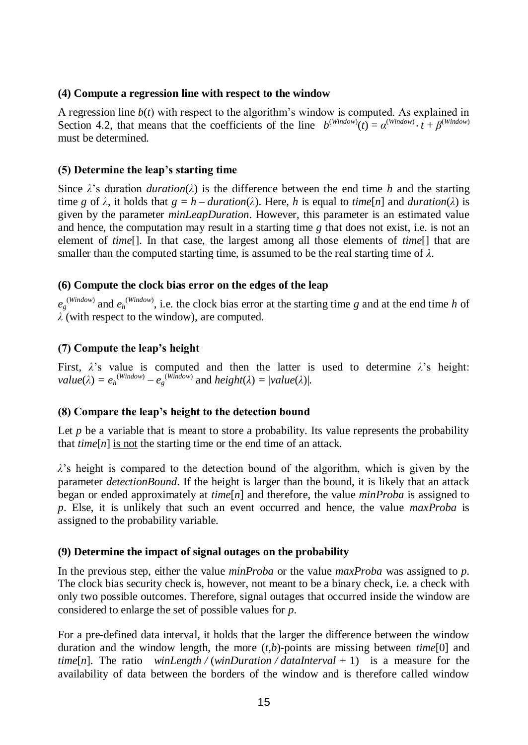### **(4) Compute a regression line with respect to the window**

A regression line  $b(t)$  with respect to the algorithm's window is computed. As explained in Section [4.2,](#page-9-0) that means that the coefficients of the line  $b^{(Window)}(t) = a^{(Window)} \cdot t + \beta^{(Window)}$ must be determined.

### **(5) Determine the leap's starting time**

Since  $\lambda$ 's duration *duration*( $\lambda$ ) is the difference between the end time *h* and the starting time *g* of  $\lambda$ , it holds that  $g = h - duration(\lambda)$ . Here, *h* is equal to *time*[*n*] and *duration*( $\lambda$ ) is given by the parameter *minLeapDuration*. However, this parameter is an estimated value and hence, the computation may result in a starting time  $g$  that does not exist, i.e. is not an element of *time*[]. In that case, the largest among all those elements of *time*[] that are smaller than the computed starting time, is assumed to be the real starting time of  $\lambda$ .

### **(6) Compute the clock bias error on the edges of the leap**

 $e_g^{(Window)}$  and  $e_h^{(Window)}$ , i.e. the clock bias error at the starting time *g* and at the end time *h* of *λ* (with respect to the window), are computed.

### **(7) Compute the leap's height**

First, *λ*'s value is computed and then the latter is used to determine *λ*'s height:  $value(\lambda) = e_h^{(Window)} - e_g^{(Window)}$  and  $height(\lambda) = |value(\lambda)|$ *.* 

#### **(8) Compare the leap's height to the detection bound**

Let  $p$  be a variable that is meant to store a probability. Its value represents the probability that *time*[*n*] is not the starting time or the end time of an attack.

*λ*'s height is compared to the detection bound of the algorithm, which is given by the parameter *detectionBound*. If the height is larger than the bound, it is likely that an attack began or ended approximately at *time*[*n*] and therefore, the value *minProba* is assigned to *p*. Else, it is unlikely that such an event occurred and hence, the value *maxProba* is assigned to the probability variable.

#### **(9) Determine the impact of signal outages on the probability**

In the previous step, either the value *minProba* or the value *maxProba* was assigned to *p*. The clock bias security check is, however, not meant to be a binary check, i.e. a check with only two possible outcomes. Therefore, signal outages that occurred inside the window are considered to enlarge the set of possible values for *p*.

For a pre-defined data interval, it holds that the larger the difference between the window duration and the window length, the more (*t,b*)-points are missing between *time*[0] and *time*[*n*]. The ratio *winLength /* (*winDuration / dataInterval +* 1) is a measure for the availability of data between the borders of the window and is therefore called window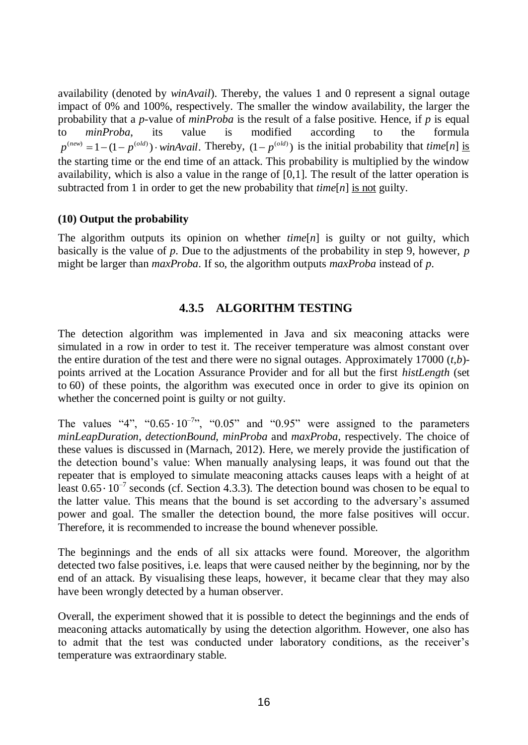availability (denoted by *winAvail*). Thereby, the values 1 and 0 represent a signal outage impact of 0% and 100%, respectively. The smaller the window availability, the larger the probability that a *p*-value of *minProba* is the result of a false positive. Hence, if *p* is equal to *minProba*, its value is modified according to the formula to *minProba*, its value is modified according to the formula  $p^{(new)} = 1 - (1 - p^{(old)}) \cdot winAvail$ . Thereby,  $(1 - p^{(old)})$  is the initial probability that *time*[*n*] is the starting time or the end time of an attack. This probability is multiplied by the window availability, which is also a value in the range of  $[0,1]$ . The result of the latter operation is subtracted from 1 in order to get the new probability that  $time[n]$  is not guilty.

### **(10) Output the probability**

The algorithm outputs its opinion on whether *time*[*n*] is guilty or not guilty, which basically is the value of *p*. Due to the adjustments of the probability in step 9, however, *p* might be larger than *maxProba*. If so, the algorithm outputs *maxProba* instead of *p*.

### **4.3.5 ALGORITHM TESTING**

The detection algorithm was implemented in Java and six meaconing attacks were simulated in a row in order to test it. The receiver temperature was almost constant over the entire duration of the test and there were no signal outages. Approximately 17000 (*t,b*) points arrived at the Location Assurance Provider and for all but the first *histLength* (set to 60) of these points, the algorithm was executed once in order to give its opinion on whether the concerned point is guilty or not guilty.

The values "4", " $0.65 \cdot 10^{-7}$ ", " $0.05$ " and " $0.95$ " were assigned to the parameters *minLeapDuration*, *detectionBound*, *minProba* and *maxProba*, respectively. The choice of these values is discussed in (Marnach, 2012). Here, we merely provide the justification of the detection bound's value: When manually analysing leaps, it was found out that the repeater that is employed to simulate meaconing attacks causes leaps with a height of at least  $0.65 \cdot 10^{-7}$  seconds (cf. Section [4.3.3\)](#page-12-0). The detection bound was chosen to be equal to the latter value. This means that the bound is set according to the adversary's assumed power and goal. The smaller the detection bound, the more false positives will occur. Therefore, it is recommended to increase the bound whenever possible.

The beginnings and the ends of all six attacks were found. Moreover, the algorithm detected two false positives, i.e. leaps that were caused neither by the beginning, nor by the end of an attack. By visualising these leaps, however, it became clear that they may also have been wrongly detected by a human observer.

Overall, the experiment showed that it is possible to detect the beginnings and the ends of meaconing attacks automatically by using the detection algorithm. However, one also has to admit that the test was conducted under laboratory conditions, as the receiver's temperature was extraordinary stable.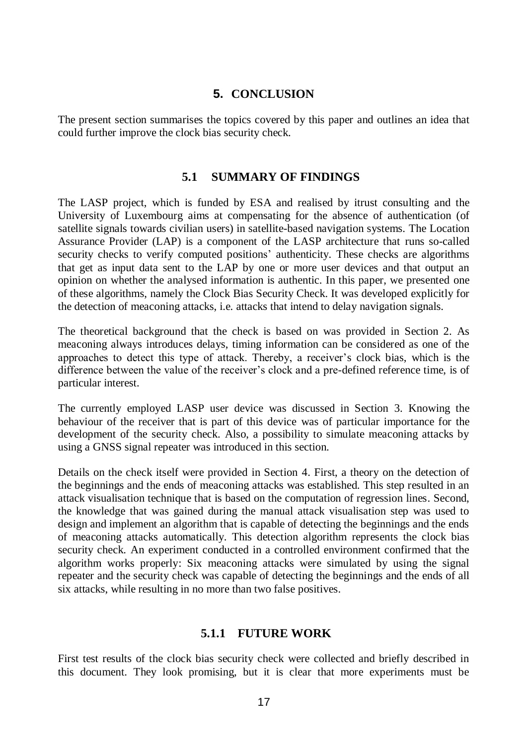### **5. CONCLUSION**

<span id="page-16-0"></span>The present section summarises the topics covered by this paper and outlines an idea that could further improve the clock bias security check.

### **5.1 SUMMARY OF FINDINGS**

The LASP project, which is funded by ESA and realised by itrust consulting and the University of Luxembourg aims at compensating for the absence of authentication (of satellite signals towards civilian users) in satellite-based navigation systems. The Location Assurance Provider (LAP) is a component of the LASP architecture that runs so-called security checks to verify computed positions' authenticity. These checks are algorithms that get as input data sent to the LAP by one or more user devices and that output an opinion on whether the analysed information is authentic. In this paper, we presented one of these algorithms, namely the Clock Bias Security Check. It was developed explicitly for the detection of meaconing attacks, i.e. attacks that intend to delay navigation signals.

The theoretical background that the check is based on was provided in Section [2.](#page-3-0) As meaconing always introduces delays, timing information can be considered as one of the approaches to detect this type of attack. Thereby, a receiver's clock bias, which is the difference between the value of the receiver's clock and a pre-defined reference time, is of particular interest.

The currently employed LASP user device was discussed in Section [3.](#page-6-0) Knowing the behaviour of the receiver that is part of this device was of particular importance for the development of the security check. Also, a possibility to simulate meaconing attacks by using a GNSS signal repeater was introduced in this section.

Details on the check itself were provided in Section [4.](#page-8-0) First, a theory on the detection of the beginnings and the ends of meaconing attacks was established. This step resulted in an attack visualisation technique that is based on the computation of regression lines. Second, the knowledge that was gained during the manual attack visualisation step was used to design and implement an algorithm that is capable of detecting the beginnings and the ends of meaconing attacks automatically. This detection algorithm represents the clock bias security check. An experiment conducted in a controlled environment confirmed that the algorithm works properly: Six meaconing attacks were simulated by using the signal repeater and the security check was capable of detecting the beginnings and the ends of all six attacks, while resulting in no more than two false positives.

### **5.1.1 FUTURE WORK**

First test results of the clock bias security check were collected and briefly described in this document. They look promising, but it is clear that more experiments must be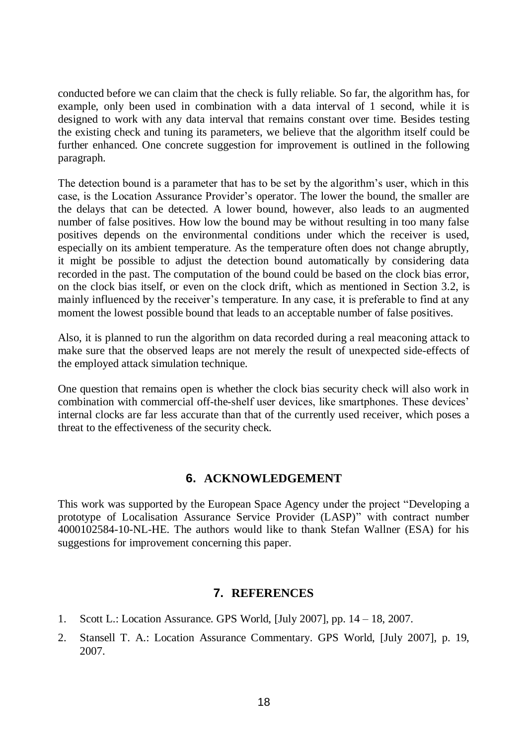conducted before we can claim that the check is fully reliable. So far, the algorithm has, for example, only been used in combination with a data interval of 1 second, while it is designed to work with any data interval that remains constant over time. Besides testing the existing check and tuning its parameters, we believe that the algorithm itself could be further enhanced. One concrete suggestion for improvement is outlined in the following paragraph.

The detection bound is a parameter that has to be set by the algorithm's user, which in this case, is the Location Assurance Provider's operator. The lower the bound, the smaller are the delays that can be detected. A lower bound, however, also leads to an augmented number of false positives. How low the bound may be without resulting in too many false positives depends on the environmental conditions under which the receiver is used, especially on its ambient temperature. As the temperature often does not change abruptly, it might be possible to adjust the detection bound automatically by considering data recorded in the past. The computation of the bound could be based on the clock bias error, on the clock bias itself, or even on the clock drift, which as mentioned in Section [3.2,](#page-6-2) is mainly influenced by the receiver's temperature. In any case, it is preferable to find at any moment the lowest possible bound that leads to an acceptable number of false positives.

Also, it is planned to run the algorithm on data recorded during a real meaconing attack to make sure that the observed leaps are not merely the result of unexpected side-effects of the employed attack simulation technique.

One question that remains open is whether the clock bias security check will also work in combination with commercial off-the-shelf user devices, like smartphones. These devices' internal clocks are far less accurate than that of the currently used receiver, which poses a threat to the effectiveness of the security check.

## **6. ACKNOWLEDGEMENT**

This work was supported by the European Space Agency under the project "Developing a prototype of Localisation Assurance Service Provider (LASP)" with contract number 4000102584-10-NL-HE. The authors would like to thank Stefan Wallner (ESA) for his suggestions for improvement concerning this paper.

### **7. REFERENCES**

- 1. Scott L.: Location Assurance. GPS World, [July 2007], pp. 14 18, 2007.
- 2. Stansell T. A.: Location Assurance Commentary. GPS World, [July 2007], p. 19, 2007.